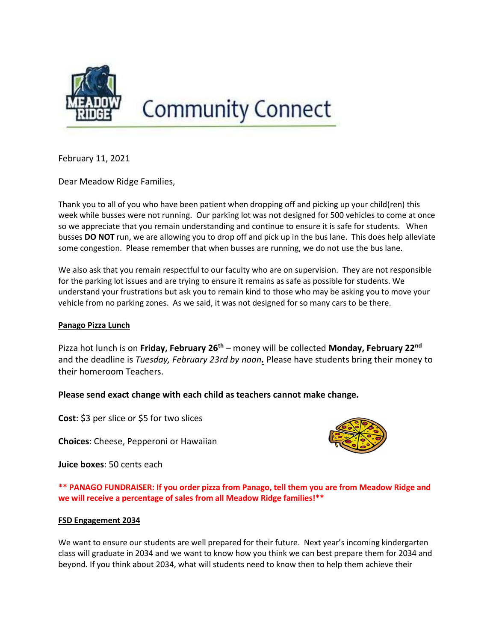

# **Community Connect**

February 11, 2021

Dear Meadow Ridge Families,

Thank you to all of you who have been patient when dropping off and picking up your child(ren) this week while busses were not running. Our parking lot was not designed for 500 vehicles to come at once so we appreciate that you remain understanding and continue to ensure it is safe for students. When busses DO NOT run, we are allowing you to drop off and pick up in the bus lane. This does help alleviate some congestion. Please remember that when busses are running, we do not use the bus lane.

We also ask that you remain respectful to our faculty who are on supervision. They are not responsible for the parking lot issues and are trying to ensure it remains as safe as possible for students. We understand your frustrations but ask you to remain kind to those who may be asking you to move your vehicle from no parking zones. As we said, it was not designed for so many cars to be there.

### Panago Pizza Lunch

Pizza hot lunch is on Friday, February 26<sup>th</sup> – money will be collected Monday, February 22<sup>nd</sup> and the deadline is Tuesday, February 23rd by noon. Please have students bring their money to their homeroom Teachers.

## Please send exact change with each child as teachers cannot make change.

Cost: \$3 per slice or \$5 for two slices

Choices: Cheese, Pepperoni or Hawaiian

Juice boxes: 50 cents each

\*\* PANAGO FUNDRAISER: If you order pizza from Panago, tell them you are from Meadow Ridge and we will receive a percentage of sales from all Meadow Ridge families!\*\*

#### FSD Engagement 2034

We want to ensure our students are well prepared for their future. Next year's incoming kindergarten class will graduate in 2034 and we want to know how you think we can best prepare them for 2034 and beyond. If you think about 2034, what will students need to know then to help them achieve their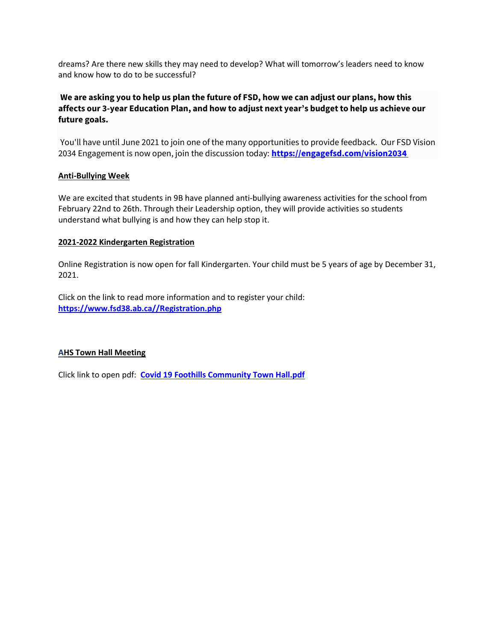dreams? Are there new skills they may need to develop? What will tomorrow's leaders need to know and know how to do to be successful?

# We are asking you to help us plan the future of FSD, how we can adjust our plans, how this affects our 3-year Education Plan, and how to adjust next year's budget to help us achieve our future goals.

You'll have until June 2021 to join one of the many opportunities to provide feedback. Our FSD Vision 2034 Engagement is now open, join the discussion today: https://engagefsd.com/vision2034

#### Anti-Bullying Week

We are excited that students in 9B have planned anti-bullying awareness activities for the school from February 22nd to 26th. Through their Leadership option, they will provide activities so students understand what bullying is and how they can help stop it.

#### 2021-2022 Kindergarten Registration

Online Registration is now open for fall Kindergarten. Your child must be 5 years of age by December 31, 2021.

Click on the link to read more information and to register your child: https://www.fsd38.ab.ca//Registration.php

#### AHS Town Hall Meeting

Click link to open pdf: Covid 19 Foothills Community Town Hall.pdf